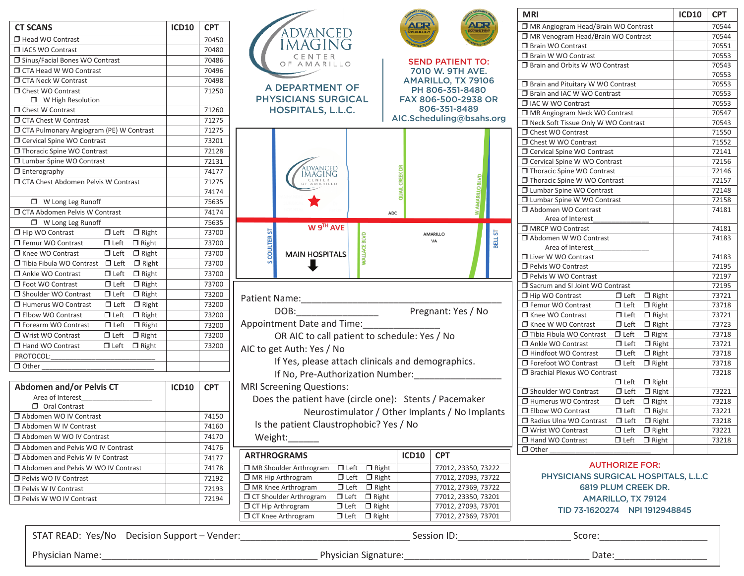| <b>CT SCANS</b>                                       | <b>ICD10</b> | <b>CPT</b> |              |
|-------------------------------------------------------|--------------|------------|--------------|
| Head WO Contrast                                      |              | 70450      |              |
| <b>INCS WO Contrast</b>                               |              | 70480      |              |
| □ Sinus/Facial Bones WO Contrast                      |              | 70486      |              |
| □ CTA Head W WO Contrast                              |              | 70496      |              |
| <b>T</b> CTA Neck W Contrast                          |              | 70498      |              |
| <b>T</b> Chest WO Contrast                            |              | 71250      |              |
| □ W High Resolution                                   |              |            | PH           |
| □ Chest W Contrast                                    |              | 71260      |              |
| □ CTA Chest W Contrast                                |              | 71275      |              |
| □ CTA Pulmonary Angiogram (PE) W Contrast             |              | 71275      |              |
| □ Cervical Spine WO Contrast                          |              | 73201      |              |
| Thoracic Spine WO Contrast                            |              | 72128      |              |
| □ Lumbar Spine WO Contrast                            |              | 72131      |              |
| $\overline{\Box}$ Enterography                        |              | 74177      |              |
| □ CTA Chest Abdomen Pelvis W Contrast                 |              | 71275      |              |
|                                                       |              | 74174      |              |
| □ W Long Leg Runoff                                   |              | 75635      |              |
| □ CTA Abdomen Pelvis W Contrast                       |              | 74174      |              |
| $\Box$ W Long Leg Runoff                              |              | 75635      |              |
| Hip WO Contrast<br>$\Box$ Left<br>$\Box$ Right        |              | 73700      |              |
| $\Box$ Left<br>Femur WO Contrast<br>$\Box$ Right      |              | 73700      |              |
| $\Box$ Left<br>□ Knee WO Contrast<br>$\Box$ Right     |              | 73700      |              |
| □ Tibia Fibula WO Contrast □ Left<br>$\Box$ Right     |              | 73700      |              |
| $\Box$ Left<br>Ankle WO Contrast<br>$\Box$ Right      |              | 73700      |              |
| $\Box$ Left<br>Foot WO Contrast<br>$\Box$ Right       |              | 73700      |              |
| $\Box$ Left<br>□ Shoulder WO Contrast<br>$\Box$ Right |              | 73200      | Patien       |
| $\Box$ Left<br>□ Humerus WO Contrast<br>$\Box$ Right  |              | 73200      |              |
| $\Box$ Left<br>□ Elbow WO Contrast<br>$\Box$ Right    |              | 73200      |              |
| $\Box$ Left<br>□ Forearm WO Contrast<br>$\Box$ Right  |              | 73200      | Appoir       |
| $\Box$ Left<br>$\Box$ Right<br>□ Wrist WO Contrast    |              | 73200      |              |
| $\Box$ Left<br>Hand WO Contrast<br>$\Box$ Right       |              | 73200      | AIC to       |
| PROTOCOL:                                             |              |            |              |
| $\Box$ Other                                          |              |            |              |
|                                                       |              |            |              |
| <b>Abdomen and/or Pelvis CT</b>                       | <b>ICD10</b> | <b>CPT</b> | <b>MRISC</b> |

| Abdomen and/or Pelvis CT            | <b>ICD10</b> | <b>CPT</b> | <b>NIKI SCREE</b>   |
|-------------------------------------|--------------|------------|---------------------|
| Area of Interest                    |              |            | Does th             |
| Oral Contrast                       |              |            |                     |
| Abdomen WO IV Contrast              |              | 74150      |                     |
| Abdomen W IV Contrast               |              | 74160      | Is the p            |
| Abdomen W WO IV Contrast            |              | 74170      | Weight              |
| Abdomen and Pelvis WO IV Contrast   |              | 74176      |                     |
| □ Abdomen and Pelvis W IV Contrast  |              | 74177      | <b>ARTHROG</b>      |
| Abdomen and Pelvis W WO IV Contrast |              | 74178      | MR Should           |
| Pelvis WO IV Contrast               |              | 72192      | $\Box$ MR Hip Art   |
| Pelvis W IV Contrast                |              | 72193      | $\Box$ MR Knee A    |
| Pelvis W WO IV Contrast             |              | 72194      | <b>T</b> CT Shoulde |
|                                     |              |            |                     |

|                                                   |              |            |                                                        |                                                | <b>MRI</b>                                                                                                 | <b>ICD10</b><br><b>CPT</b> |
|---------------------------------------------------|--------------|------------|--------------------------------------------------------|------------------------------------------------|------------------------------------------------------------------------------------------------------------|----------------------------|
| ١S                                                | <b>ICD10</b> | <b>CPT</b> |                                                        | <b>NGR</b><br>ЛCR<br><b>ADIOLOG</b>            | MR Angiogram Head/Brain WO Contrast                                                                        | 70544                      |
| /O Contrast                                       |              | 70450      | ADVANCED                                               |                                                | MR Venogram Head/Brain WO Contrast                                                                         | 70544                      |
| O Contrast                                        |              | 70480      | aging                                                  |                                                | Brain WO Contrast                                                                                          | 70551                      |
| acial Bones WO Contrast                           |              | 70486      | CENTER                                                 | <b>SEND PATIENT TO:</b>                        | <b>Brain W WO Contrast</b>                                                                                 | 70553                      |
| ad W WO Contrast                                  |              | 70496      | OF AMARILLO                                            | 7010 W. 9TH AVE.                               | □ Brain and Orbits W WO Contrast                                                                           | 70543                      |
| ck W Contrast                                     |              | 70498      |                                                        | AMARILLO, TX 79106                             |                                                                                                            | 70553                      |
| VO Contrast                                       |              | 71250      | A DEPARTMENT OF                                        | PH 806-351-8480                                | <b>J</b> Brain and Pituitary W WO Contrast                                                                 | 70553                      |
| W High Resolution                                 |              |            | <b>PHYSICIANS SURGICAL</b>                             | FAX 806-500-2938 OR                            | □ Brain and IAC W WO Contrast                                                                              | 70553                      |
| V Contrast                                        |              | 71260      | <b>HOSPITALS, L.L.C.</b>                               | 806-351-8489                                   | I IAC W WO Contrast                                                                                        | 70553                      |
| est W Contrast                                    |              | 71275      |                                                        | AIC.Scheduling@bsahs.org                       | MR Angiogram Neck WO Contrast                                                                              | 70547                      |
| Imonary Angiogram (PE) W Contrast                 |              | 71275      |                                                        |                                                | □ Neck Soft Tissue Only W WO Contrast                                                                      | 70543                      |
| Spine WO Contrast                                 |              | 73201      |                                                        |                                                | □ Chest WO Contrast                                                                                        | 71550                      |
| ic Spine WO Contrast                              |              | 72128      |                                                        |                                                | O Chest W WO Contrast                                                                                      | 71552                      |
| Spine WO Contrast                                 |              |            |                                                        |                                                | □ Cervical Spine WO Contrast                                                                               | 72141                      |
|                                                   |              | 72131      | <b>DVANCED</b>                                         |                                                | □ Cervical Spine W WO Contrast<br>□ Thoracic Spine WO Contrast                                             | 72156<br>72146             |
| graphy                                            |              | 74177      | imaging                                                |                                                | □ Thoracic Spine W WO Contrast                                                                             | 72157                      |
| est Abdomen Pelvis W Contrast                     |              | 71275      |                                                        |                                                | □ Lumbar Spine WO Contrast                                                                                 | 72148                      |
|                                                   |              | 74174      |                                                        |                                                | □ Lumbar Spine W WO Contrast                                                                               | 72158                      |
| W Long Leg Runoff                                 |              | 75635      |                                                        |                                                | Abdomen WO Contrast                                                                                        | 74181                      |
| domen Pelvis W Contrast                           |              | 74174      |                                                        | ADC                                            | Area of Interest                                                                                           |                            |
| W Long Leg Runoff                                 |              | 75635      | W 9TH AVE                                              |                                                | MRCP WO Contrast                                                                                           | 74181                      |
| □ Left □ Right<br>Contrast                        |              | 73700      |                                                        | BELL ST<br>AMARILLO<br>VA                      | Abdomen W WO Contrast                                                                                      | 74183                      |
| $\Box$ Left $\Box$ Right<br><b>WO Contrast</b>    |              | 73700      |                                                        |                                                | Area of Interest                                                                                           |                            |
| $\Box$ Left $\Box$ Right<br>/O Contrast           |              | 73700      | <b>MAIN HOSPITALS</b>                                  |                                                | <b>I</b> Liver W WO Contrast                                                                               | 74183                      |
| bula WO Contrast<br>$\Box$ Left<br>$\Box$ Right   |              | 73700      |                                                        |                                                | Pelvis WO Contrast                                                                                         | 72195                      |
| VO Contrast<br>$\Box$ Left $\Box$ Right           |              | 73700      |                                                        |                                                | Pelvis W WO Contrast                                                                                       | 72197                      |
| O Contrast<br>$\Box$ Right<br>$\Box$ Left         |              | 73700      |                                                        |                                                | Sacrum and SI Joint WO Contrast                                                                            | 72195                      |
| $\Box$ Right<br>er WO Contrast<br>$\Box$ Left     |              | 73200      |                                                        |                                                | $\Box$ Left $\Box$ Right<br>$\Box$ Hip WO Contrast                                                         | 73721                      |
| $\Box$ Left $\Box$ Right<br>us WO Contrast        |              | 73200      | DOB:                                                   | Pregnant: Yes / No                             | $\Box$ Left $\Box$ Right<br>Femur WO Contrast                                                              | 73718                      |
| $\Box$ Left<br>$\Box$ Right<br><b>NO Contrast</b> |              | 73200      |                                                        |                                                | □ Knee WO Contrast<br>$\Box$ Left $\Box$ Right                                                             | 73721                      |
| n WO Contrast<br>$\Box$ Left $\Box$ Right         |              | 73200      | Appointment Date and Time:                             |                                                | □ Knee W WO Contrast<br>$\Box$ Left $\Box$ Right                                                           | 73723                      |
| $\Box$ Left $\Box$ Right<br>VO Contrast           |              | 73200      | OR AIC to call patient to schedule: Yes / No           |                                                | $\Box$ Left $\Box$ Right<br>□ Tibia Fibula WO Contrast                                                     | 73718                      |
| VO Contrast<br>$\Box$ Left $\Box$ Right           |              | 73200      | AIC to get Auth: Yes / No                              |                                                | $\Box$ Left $\Box$ Right<br>Ankle WO Contrast                                                              | 73721                      |
| JL:                                               |              |            |                                                        |                                                | $\Box$ Left<br>$\Box$ Right<br>□ Hindfoot WO Contrast                                                      | 73718                      |
|                                                   |              |            | If Yes, please attach clinicals and demographics.      |                                                | $\Box$ Left $\Box$ Right<br>□ Forefoot WO Contrast                                                         | 73718                      |
|                                                   |              |            | If No, Pre-Authorization Number:                       |                                                | <b>Brachial Plexus WO Contrast</b>                                                                         | 73218                      |
| en and/or Pelvis CT                               | <b>ICD10</b> | <b>CPT</b> | <b>MRI Screening Questions:</b>                        |                                                | $\Box$ Left $\Box$ Right                                                                                   |                            |
| a of Interest                                     |              |            | Does the patient have (circle one): Stents / Pacemaker |                                                | Shoulder WO Contrast<br>$\Box$ Left $\Box$ Right                                                           | 73221                      |
| Oral Contrast                                     |              |            |                                                        |                                                | Humerus WO Contrast<br>$\Box$ Left<br>$\Box$ Right<br><b>I</b> Elbow WO Contrast                           | 73218<br>73221             |
| en WO IV Contrast                                 |              | 74150      |                                                        | Neurostimulator / Other Implants / No Implants | $\Box$ Left $\Box$ Right                                                                                   | 73218                      |
| en W IV Contrast                                  |              | 74160      | Is the patient Claustrophobic? Yes / No                |                                                | $\Box$ Radius Ulna WO Contrast $\Box$ Left $\Box$ Right<br>$\Box$ Left $\Box$ Right<br>□ Wrist WO Contrast | 73221                      |
| en W WO IV Contrast                               |              | 74170      | Weight:                                                |                                                | $\Box$ Left $\Box$ Right<br>□ Hand WO Contrast                                                             | 73218                      |
| en and Pelvis WO IV Contrast                      |              | 74176      |                                                        |                                                | $\Box$ Other                                                                                               |                            |
| en and Pelvis W IV Contrast                       |              | 74177      | <b>ARTHROGRAMS</b>                                     | <b>CPT</b><br><b>ICD10</b>                     |                                                                                                            |                            |
| en and Pelvis W WO IV Contrast                    |              | 74178      | $\Box$ Left $\Box$ Right<br>□ MR Shoulder Arthrogram   | 77012, 23350, 73222                            | <b>AUTHORIZE FOR:</b>                                                                                      |                            |
| VO IV Contrast                                    |              | 72192      | MR Hip Arthrogram<br>$\Box$ Left $\Box$ Right          | 77012, 27093, 73722                            | PHYSICIANS SURGICAL HOSPITALS, L.L.C                                                                       |                            |
| V IV Contrast                                     |              | 72193      | MR Knee Arthrogram<br>$\Box$ Left $\Box$ Right         | 77012, 27369, 73722                            | 6819 PLUM CREEK DR.                                                                                        |                            |
| V WO IV Contrast                                  |              | 72194      | □ CT Shoulder Arthrogram<br>$\Box$ Left $\Box$ Right   | 77012, 23350, 73201                            | AMARILLO, TX 79124                                                                                         |                            |
|                                                   |              |            | O CT Hip Arthrogram<br>$\Box$ Left $\Box$ Right        | 77012, 27093, 73701                            | TID 73-1620274 NDI 1012048845                                                                              |                            |
|                                                   |              |            |                                                        |                                                |                                                                                                            |                            |

|                                   | <b>MRI</b>                                                | <b>ICD10</b> | <b>CPT</b> |
|-----------------------------------|-----------------------------------------------------------|--------------|------------|
|                                   | MR Angiogram Head/Brain WO Contrast                       |              | 70544      |
|                                   | MR Venogram Head/Brain WO Contrast                        |              | 70544      |
|                                   | Brain WO Contrast                                         |              | 70551      |
|                                   | □ Brain W WO Contrast                                     |              | 70553      |
| <b>SEND PATIENT TO:</b>           | □ Brain and Orbits W WO Contrast                          |              | 70543      |
| 7010 W. 9TH AVE.                  |                                                           |              | 70553      |
| <b>MARILLO, TX 79106</b>          | □ Brain and Pituitary W WO Contrast                       |              | 70553      |
| PH 806-351-8480                   | □ Brain and IAC W WO Contrast                             |              | 70553      |
| <b>X 806-500-2938 OR</b>          | <b>ID IAC W WO Contrast</b>                               |              | 70553      |
| 806-351-8489                      | □ MR Angiogram Neck WO Contrast                           |              | 70547      |
| Scheduling@bsahs.org              | □ Neck Soft Tissue Only W WO Contrast                     |              | 70543      |
|                                   | □ Chest WO Contrast                                       |              | 71550      |
|                                   | □ Chest W WO Contrast                                     |              | 71552      |
|                                   | □ Cervical Spine WO Contrast                              |              | 72141      |
|                                   | □ Cervical Spine W WO Contrast                            |              | 72156      |
|                                   | □ Thoracic Spine WO Contrast                              |              | 72146      |
|                                   | □ Thoracic Spine W WO Contrast                            |              | 72157      |
|                                   | □ Lumbar Spine WO Contrast                                |              | 72148      |
|                                   | □ Lumbar Spine W WO Contrast                              |              | 72158      |
| <b>WAMARILLO BLVD</b>             | Abdomen WO Contrast                                       |              | 74181      |
|                                   | Area of Interest                                          |              |            |
|                                   | MRCP WO Contrast                                          |              | 74181      |
| <b>BELL ST</b><br><b>AMARILLO</b> | Abdomen W WO Contrast                                     |              | 74183      |
| VA                                | Area of Interest                                          |              |            |
|                                   | □ Liver W WO Contrast                                     |              | 74183      |
|                                   | Pelvis WO Contrast                                        |              | 72195      |
|                                   | Pelvis W WO Contrast                                      |              | 72197      |
|                                   | □ Sacrum and SI Joint WO Contrast                         |              | 72195      |
|                                   | Hip WO Contrast<br>$\Box$ Left<br>$\Box$ Right            |              | 73721      |
|                                   | Femur WO Contrast<br>$\Box$ Left<br>$\Box$ Right          |              | 73718      |
| Pregnant: Yes / No                | Knee WO Contrast<br>$\Box$ Left<br>$\Box$ Right           |              | 73721      |
|                                   | □ Knee W WO Contrast<br>$\Box$ Left<br>$\Box$ Right       |              | 73723      |
|                                   | Tibia Fibula WO Contrast<br>$\Box$ Left<br>$\Box$ Right   |              | 73718      |
| le: Yes / No                      | Ankle WO Contrast<br>$\Box$ Left $\Box$ Right             |              | 73721      |
|                                   | □ Hindfoot WO Contrast<br>$\Box$ Left<br>$\Box$ Right     |              | 73718      |
| d demographics.                   | □ Forefoot WO Contrast<br>$\Box$ Left<br>$\Box$ Right     |              | 73718      |
|                                   | <b>J</b> Brachial Plexus WO Contrast                      |              | 73218      |
|                                   | $\Box$ Left $\Box$ Right                                  |              |            |
|                                   | Shoulder WO Contrast<br>$\Box$ Right<br>$\Box$ Left       |              | 73221      |
| tents / Pacemaker                 | Humerus WO Contrast<br>$\Box$ Left<br>$\Box$ Right        |              | 73218      |
|                                   | <b>I</b> Elbow WO Contrast<br>$\Box$ Left<br>$\Box$ Right |              | 73221      |
| Implants / No Implants            | Radius Ulna WO Contrast<br>$\Box$ Left<br>$\Box$ Right    |              | 73218      |
| N٥                                | □ Wrist WO Contrast<br>$\Box$ Left<br>$\Box$ Right        |              | 73221      |
|                                   | Hand WO Contrast<br>$\Box$ Left                           |              | 73218      |
|                                   | $\Box$ Right                                              |              |            |
| <b>D10</b><br><b>CPT</b>          | $\Box$ Other                                              |              |            |
|                                   |                                                           |              |            |

## **FIP Article 277012, 27369, 73722 6819 PLUM CREEK DR.** TID 73-1620274 NPI 1912948845 TID 73-1620274 NPI 1912948845  $\Box$  CT Knee Arthrogram  $\Box$  Left  $\Box$  Right  $\Box$  77012, 27369, 73701

 $\overline{\phantom{0}}$ 

STAT READ: Yes/No Decision Support – Vender:\_\_\_\_\_\_\_\_\_\_\_\_\_\_\_\_\_\_\_\_\_\_\_\_\_\_\_\_\_\_\_\_\_ Session ID:\_\_\_\_\_\_\_\_\_\_\_\_\_\_\_\_\_\_\_\_\_\_ Score:\_\_\_\_\_\_\_\_\_\_\_\_\_\_\_\_\_\_\_\_\_

Physician Name: Date: Date: Date: Date: Physician Signature: Date: Date: Date: Date: Date: Date: Date: Date: Date: Date: Date: Date: Date: Date: Date: Date: Date: Date: Date: Date: Date: Date: Date: Date: Date: Date: Date:

 $\Box$  CT Knee Arthrogram  $\Box$  Left  $\Box$  Right | 77012, 27369, 73701

STAT READ: YES/NO DECISION SUPPORT – VENDER: YES/NO DECISION IN THE SUPPORT – VENDER: YES/NO DECISION IN THE S<br>Experimental contract of the support of the support of the support of the support of the support of the support

CT Knee Arthrogram Left Right 77012, 27369, 737012, 27369, 737012, 737012, 737012, 737012, 737012, 737012, 7

Physician Name:\_\_\_\_\_\_\_\_\_\_\_\_\_\_\_\_\_\_\_\_\_\_\_\_\_\_\_\_\_\_\_\_\_\_\_\_\_\_\_\_\_\_ Physician Signature:\_\_\_\_\_\_\_\_\_\_\_\_\_\_\_\_\_\_\_\_\_\_\_\_\_\_\_\_\_\_\_\_\_\_\_\_ Date:\_\_\_\_\_\_\_\_\_\_\_\_\_\_\_\_\_\_